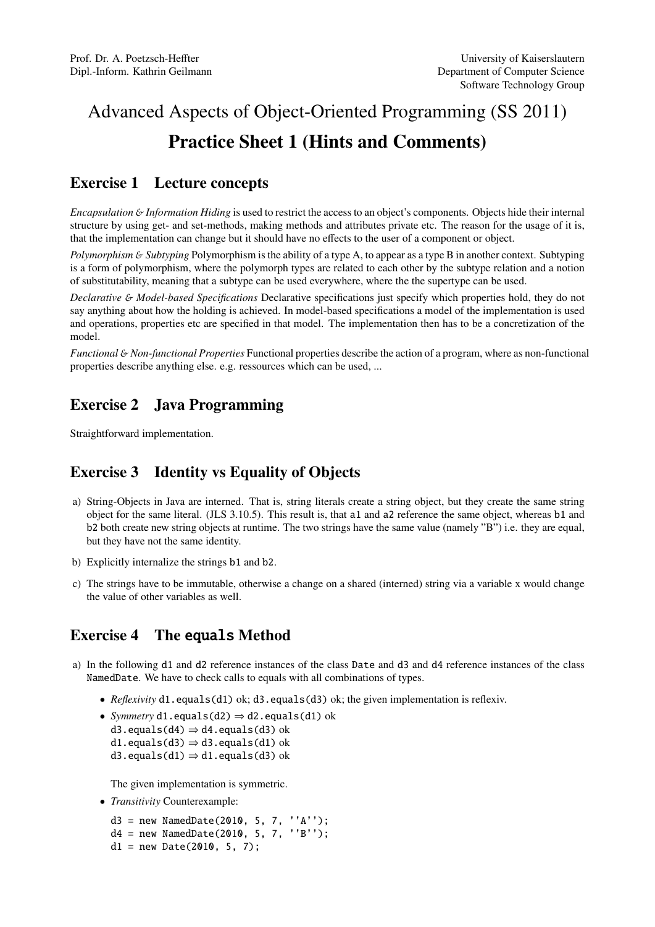# Advanced Aspects of Object-Oriented Programming (SS 2011) Practice Sheet 1 (Hints and Comments)

#### Exercise 1 Lecture concepts

*Encapsulation* & *Information Hiding* is used to restrict the access to an object's components. Objects hide their internal structure by using get- and set-methods, making methods and attributes private etc. The reason for the usage of it is, that the implementation can change but it should have no effects to the user of a component or object.

*Polymorphism* & *Subtyping* Polymorphism is the ability of a type A, to appear as a type B in another context. Subtyping is a form of polymorphism, where the polymorph types are related to each other by the subtype relation and a notion of substitutability, meaning that a subtype can be used everywhere, where the the supertype can be used.

*Declarative* & *Model-based Specifications* Declarative specifications just specify which properties hold, they do not say anything about how the holding is achieved. In model-based specifications a model of the implementation is used and operations, properties etc are specified in that model. The implementation then has to be a concretization of the model.

*Functional* & *Non-functional Properties* Functional properties describe the action of a program, where as non-functional properties describe anything else. e.g. ressources which can be used, ...

### Exercise 2 Java Programming

Straightforward implementation.

## Exercise 3 Identity vs Equality of Objects

- a) String-Objects in Java are interned. That is, string literals create a string object, but they create the same string object for the same literal. (JLS 3.10.5). This result is, that a1 and a2 reference the same object, whereas b1 and b2 both create new string objects at runtime. The two strings have the same value (namely "B") i.e. they are equal, but they have not the same identity.
- b) Explicitly internalize the strings b1 and b2.
- c) The strings have to be immutable, otherwise a change on a shared (interned) string via a variable x would change the value of other variables as well.

#### Exercise 4 The equals Method

- a) In the following d1 and d2 reference instances of the class Date and d3 and d4 reference instances of the class NamedDate. We have to check calls to equals with all combinations of types.
	- *Reflexivity* d1.equals(d1) ok; d3.equals(d3) ok; the given implementation is reflexiv.
	- *Symmetry* d1.equals(d2) ⇒ d2.equals(d1) ok d3.equals(d4)  $\Rightarrow$  d4.equals(d3) ok d1.equals(d3)  $\Rightarrow$  d3.equals(d1) ok
		- d3.equals(d1)  $\Rightarrow$  d1.equals(d3) ok

The given implementation is symmetric.

• *Transitivity* Counterexample:

 $d3 = new Namedbate(2010, 5, 7, ''A')$ ; d4 = new NamedDate(2010, 5, 7, ''B'');  $d1 = new Date(2010, 5, 7);$